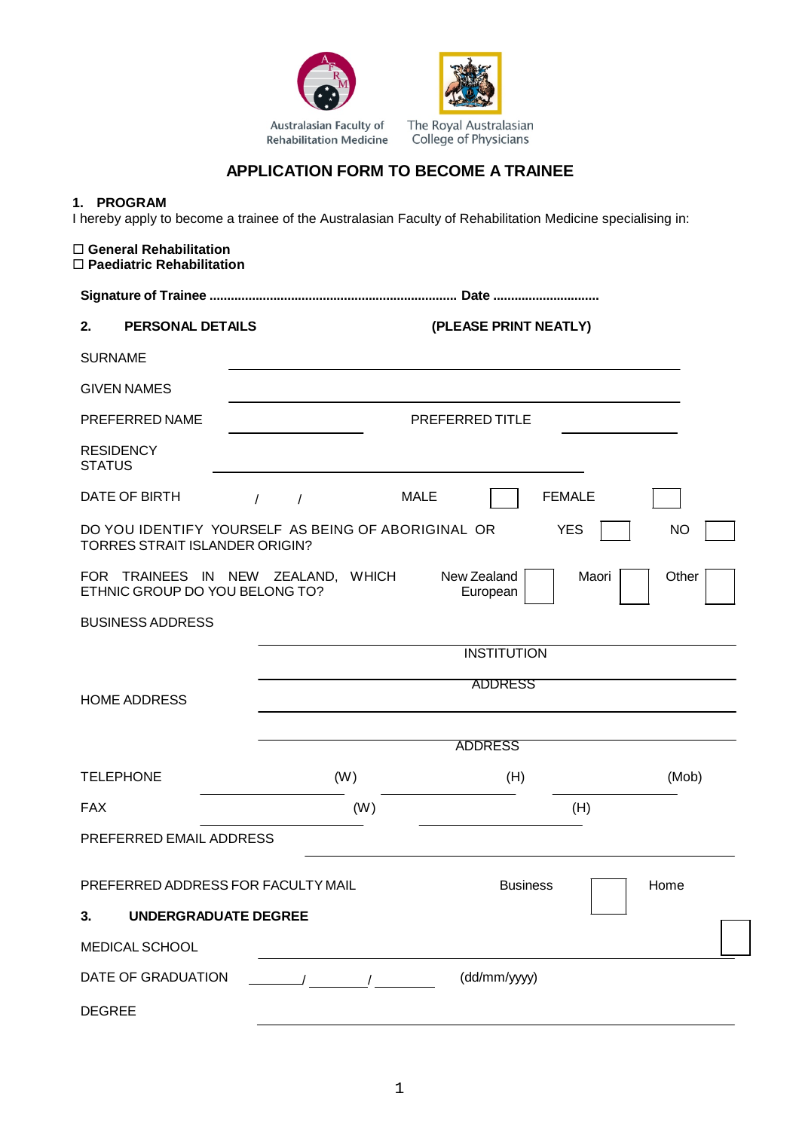



The Royal Australasian College of Physicians

## **APPLICATION FORM TO BECOME A TRAINEE**

## **1. PROGRAM**

I hereby apply to become a trainee of the Australasian Faculty of Rehabilitation Medicine specialising in:

## **General Rehabilitation Paediatric Rehabilitation Signature of Trainee ...................................................................... Date .............................. 2. PERSONAL DETAILS (PLEASE PRINT NEATLY)** SURNAME GIVEN NAMES PREFERRED NAME PREFERRED TITLE **RESIDENCY STATUS** DATE OF BIRTH  $\left\vert \begin{array}{ccc} \end{array} \right\vert$  /  $\left\vert \begin{array}{ccc} \end{array} \right\vert$   $\begin{array}{ccc} \end{array}$   $\begin{array}{ccc} \end{array}$   $\begin{array}{ccc} \end{array}$   $\begin{array}{ccc} \end{array}$   $\begin{array}{ccc} \end{array}$   $\begin{array}{ccc} \end{array}$   $\begin{array}{ccc} \end{array}$   $\begin{array}{ccc} \end{array}$   $\begin{array}{ccc} \end{array}$   $\begin{array}{ccc} \end{array}$   $\begin{array}{ccc} \end$ DO YOU IDENTIFY YOURSELF AS BEING OF ABORIGINAL OR TORRES STRAIT ISLANDER ORIGIN? YES I NO FOR TRAINEES IN NEW ZEALAND, WHICH ETHNIC GROUP DO YOU BELONG TO? New Zealand European Maori Other BUSINESS ADDRESS **INSTITUTION** HOME ADDRESS ADDRESS ADDRESS TELEPHONE (W) (H) (Mob) FAX (W) (H) PREFERRED EMAIL ADDRESS PREFERRED ADDRESS FOR FACULTY MAIL Business Formation of the Business and Home **3. UNDERGRADUATE DEGREE** MEDICAL SCHOOL DATE OF GRADUATION / / (dd/mm/yyyy) DEGREE